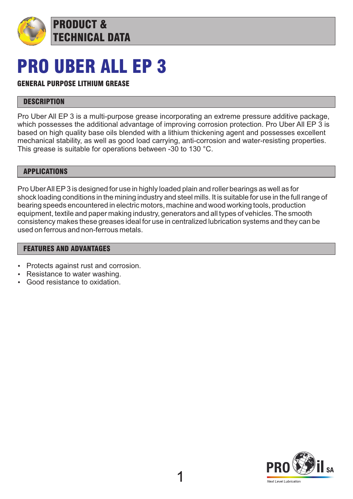

# PRO UBER ALL EP 3

TECHNICAL DATA

### GENERAL PURPOSE LITHIUM GREASE

PRODUCT &

#### **DESCRIPTION**

Pro Uber All EP 3 is a multi-purpose grease incorporating an extreme pressure additive package, which possesses the additional advantage of improving corrosion protection. Pro Uber All EP 3 is based on high quality base oils blended with a lithium thickening agent and possesses excellent mechanical stability, as well as good load carrying, anti-corrosion and water-resisting properties. This grease is suitable for operations between -30 to 130 °C.

#### APPLICATIONS

Pro Uber All EP3 is designed for use in highly loaded plain and roller bearings as well as for shock loading conditions in the mining industry and steel mills. It is suitable for use in the full range of bearing speeds encountered in electric motors, machine and wood working tools, production equipment, textile and paper making industry, generators and all types of vehicles. The smooth consistency makes these greases ideal for use in centralized lubrication systems and they can be used on ferrous and non-ferrous metals.

#### FEATURES AND ADVANTAGES

- Protects against rust and corrosion.
- Resistance to water washing.
- Good resistance to oxidation.